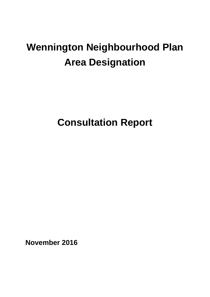# **Wennington Neighbourhood Plan Area Designation**

**Consultation Report**

**November 2016**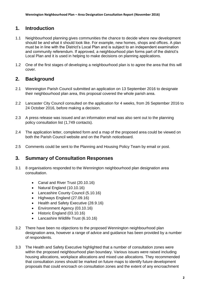### **1. Introduction**

- 1.1 Neighbourhood planning gives communities the chance to decide where new development should be and what it should look like. For example, new homes, shops and offices. A plan must be in line with the District's Local Plan and is subject to an independent examination and community referendum. If approved, a neighbourhood plan forms part of the district's Local Plan and it is used in helping to make decisions on planning applications.
- 1.2 One of the first stages of developing a neighbourhood plan is to agree the area that this will cover.

### **2. Background**

- 2.1 Wennington Parish Council submitted an application on 13 September 2016 to designate their neighbourhood plan area, this proposal covered the whole parish area.
- 2.2 Lancaster City Council consulted on the application for 4 weeks, from 26 September 2016 to 24 October 2016, before making a decision.
- 2.3 A press release was issued and an information email was also sent out to the planning policy consultation list (1,749 contacts).
- 2.4 The application letter, completed form and a map of the proposed area could be viewed on both the Parish Council website and on the Parish noticeboard.
- 2.5 Comments could be sent to the Planning and Housing Policy Team by email or post.

#### **3. Summary of Consultation Responses**

- 3.1 8 organisations responded to the Wennington neighbourhood plan designation area consultation.
	- Canal and River Trust (20.10.16)
	- Natural England (10.10.16)
	- Lancashire County Council (5.10.16)
	- Highways England (27.09.16)
	- Health and Safety Executive (28.9.16)
	- Environment Agency (03.10.16)
	- Historic England (03.10.16)
	- Lancashire Wildlife Trust (6.10.16)
- 3.2 There have been no objections to the proposed Wennington neighbourhood plan designation area, however a range of advice and guidance has been provided by a number of respondents.
- 3.3 The Health and Safety Executive highlighted that a number of consultation zones were within the proposed neighbourhood plan boundary. Various issues were raised including housing allocations, workplace allocations and mixed use allocations. They recommended that consultation zones should be marked on future maps to identify future development proposals that could encroach on consultation zones and the extent of any encroachment